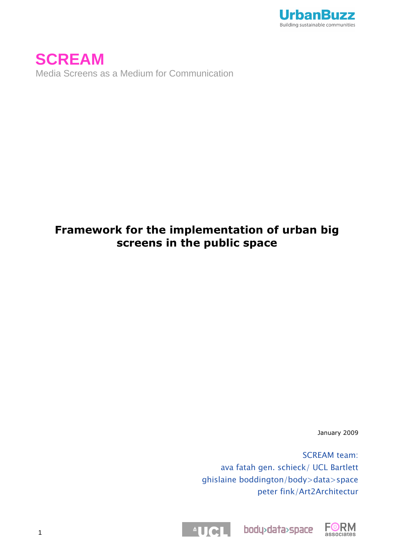

**SCREAM** Media Screens as a Medium for Communication

# **Framework for the implementation of urban big screens in the public space**

January 2009

SCREAM team: ava fatah gen. schieck/ UCL Bartlett ghislaine boddington/body>data>space peter fink/Art2Architectur



body>data>space

FUCL

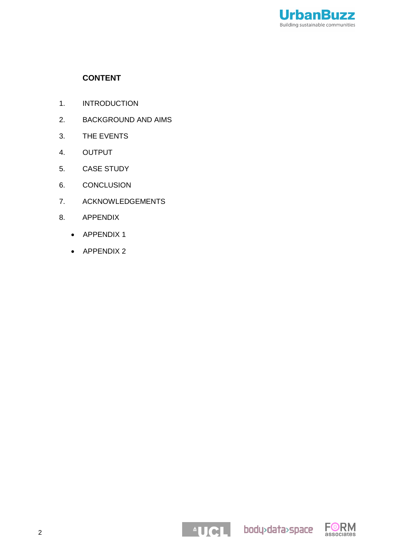

## **CONTENT**

- 1. INTRODUCTION
- 2. BACKGROUND AND AIMS
- 3. THE EVENTS
- 4. OUTPUT
- 5. CASE STUDY
- 6. CONCLUSION
- 7. ACKNOWLEDGEMENTS
- 8. APPENDIX
	- APPENDIX 1
	- APPENDIX 2

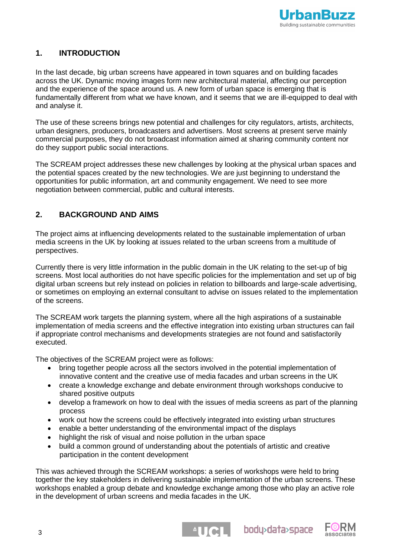

## **1. INTRODUCTION**

In the last decade, big urban screens have appeared in town squares and on building facades across the UK. Dynamic moving images form new architectural material, affecting our perception and the experience of the space around us. A new form of urban space is emerging that is fundamentally different from what we have known, and it seems that we are ill-equipped to deal with and analyse it.

The use of these screens brings new potential and challenges for city regulators, artists, architects, urban designers, producers, broadcasters and advertisers. Most screens at present serve mainly commercial purposes, they do not broadcast information aimed at sharing community content nor do they support public social interactions.

The SCREAM project addresses these new challenges by looking at the physical urban spaces and the potential spaces created by the new technologies. We are just beginning to understand the opportunities for public information, art and community engagement. We need to see more negotiation between commercial, public and cultural interests.

## **2. BACKGROUND AND AIMS**

The project aims at influencing developments related to the sustainable implementation of urban media screens in the UK by looking at issues related to the urban screens from a multitude of perspectives.

Currently there is very little information in the public domain in the UK relating to the set-up of big screens. Most local authorities do not have specific policies for the implementation and set up of big digital urban screens but rely instead on policies in relation to billboards and large-scale advertising, or sometimes on employing an external consultant to advise on issues related to the implementation of the screens.

The SCREAM work targets the planning system, where all the high aspirations of a sustainable implementation of media screens and the effective integration into existing urban structures can fail if appropriate control mechanisms and developments strategies are not found and satisfactorily executed.

The objectives of the SCREAM project were as follows:

- bring together people across all the sectors involved in the potential implementation of innovative content and the creative use of media facades and urban screens in the UK
- create a knowledge exchange and debate environment through workshops conducive to shared positive outputs
- develop a framework on how to deal with the issues of media screens as part of the planning process
- work out how the screens could be effectively integrated into existing urban structures
- enable a better understanding of the environmental impact of the displays
- highlight the risk of visual and noise pollution in the urban space
- build a common ground of understanding about the potentials of artistic and creative participation in the content development

This was achieved through the SCREAM workshops: a series of workshops were held to bring together the key stakeholders in delivering sustainable implementation of the urban screens. These workshops enabled a group debate and knowledge exchange among those who play an active role in the development of urban screens and media facades in the UK.



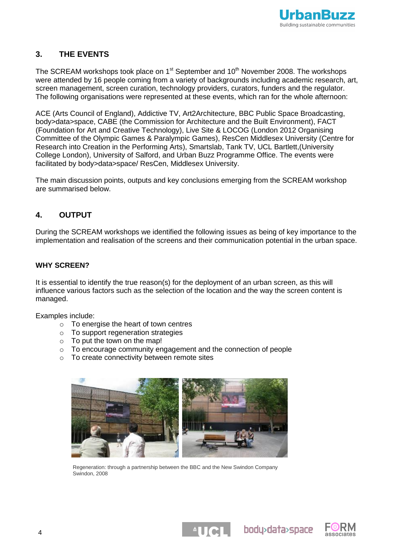

## **3. THE EVENTS**

The SCREAM workshops took place on  $1<sup>st</sup>$  September and  $10<sup>th</sup>$  November 2008. The workshops were attended by 16 people coming from a variety of backgrounds including academic research, art, screen management, screen curation, technology providers, curators, funders and the regulator. The following organisations were represented at these events, which ran for the whole afternoon:

ACE (Arts Council of England), Addictive TV, Art2Architecture, BBC Public Space Broadcasting, body>data>space, CABE (the Commission for Architecture and the Built Environment), FACT (Foundation for Art and Creative Technology), Live Site & LOCOG (London 2012 Organising Committee of the Olympic Games & Paralympic Games), ResCen Middlesex University (Centre for Research into Creation in the Performing Arts), Smartslab, Tank TV, UCL Bartlett,(University College London), University of Salford, and Urban Buzz Programme Office. The events were facilitated by body>data>space/ ResCen, Middlesex University.

The main discussion points, outputs and key conclusions emerging from the SCREAM workshop are summarised below.

## **4. OUTPUT**

During the SCREAM workshops we identified the following issues as being of key importance to the implementation and realisation of the screens and their communication potential in the urban space.

## **WHY SCREEN?**

It is essential to identify the true reason(s) for the deployment of an urban screen, as this will influence various factors such as the selection of the location and the way the screen content is managed.

Examples include:

- o To energise the heart of town centres
- o To support regeneration strategies
- o To put the town on the map!
- o To encourage community engagement and the connection of people
- o To create connectivity between remote sites



Regeneration: through a partnership between the BBC and the New Swindon Company Swindon, 2008



**ELIGIL** bodydata>space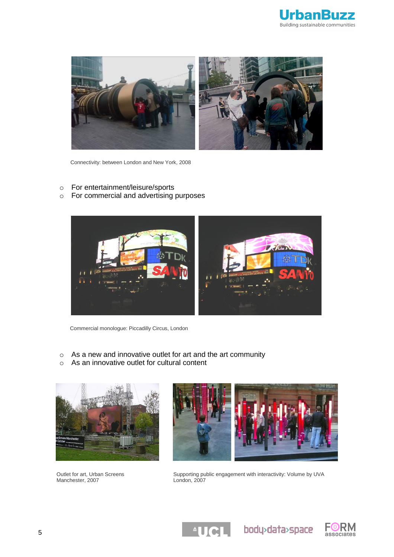



Connectivity: between London and New York, 2008

- o For entertainment/leisure/sports
- o For commercial and advertising purposes



Commercial monologue: Piccadilly Circus, London

- o As a new and innovative outlet for art and the art community
- o As an innovative outlet for cultural content



Outlet for art, Urban Screens Manchester, 2007



Supporting public engagement with interactivity: Volume by UVA London, 2007

 $\triangle$ UCL

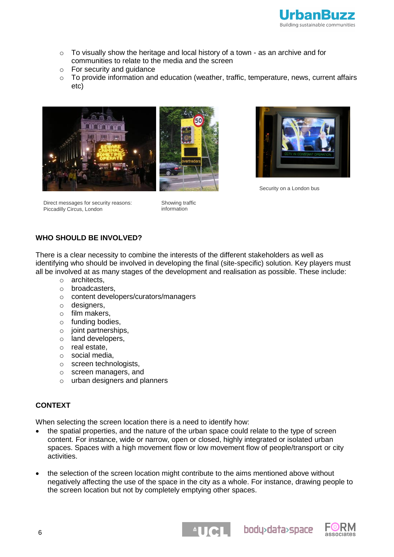

- $\circ$  To visually show the heritage and local history of a town as an archive and for communities to relate to the media and the screen
- o For security and guidance
- $\circ$  To provide information and education (weather, traffic, temperature, news, current affairs etc)





Security on a London bus

Direct messages for security reasons: Piccadilly Circus, London

Showing traffic information

## **WHO SHOULD BE INVOLVED?**

There is a clear necessity to combine the interests of the different stakeholders as well as identifying who should be involved in developing the final (site-specific) solution. Key players must all be involved at as many stages of the development and realisation as possible. These include:

- o architects,
- o broadcasters,
- o content developers/curators/managers
- o designers,
- o film makers,
- o funding bodies,
- o joint partnerships,
- o land developers,
- o real estate,
- o social media,
- o screen technologists,
- o screen managers, and
- o urban designers and planners

## **CONTEXT**

When selecting the screen location there is a need to identify how:

- the spatial properties, and the nature of the urban space could relate to the type of screen content. For instance, wide or narrow, open or closed, highly integrated or isolated urban spaces. Spaces with a high movement flow or low movement flow of people/transport or city activities.
- the selection of the screen location might contribute to the aims mentioned above without negatively affecting the use of the space in the city as a whole. For instance, drawing people to the screen location but not by completely emptying other spaces.





body>data>space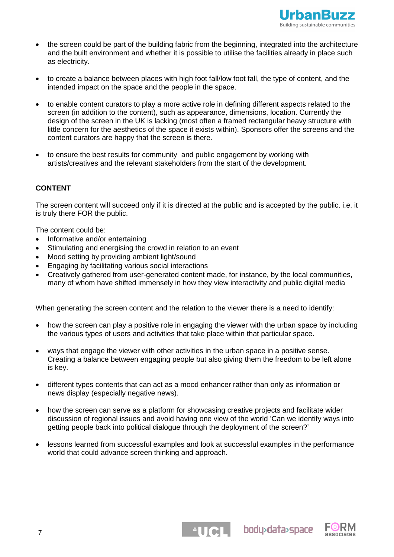

- the screen could be part of the building fabric from the beginning, integrated into the architecture and the built environment and whether it is possible to utilise the facilities already in place such as electricity.
- to create a balance between places with high foot fall/low foot fall, the type of content, and the intended impact on the space and the people in the space.
- to enable content curators to play a more active role in defining different aspects related to the screen (in addition to the content), such as appearance, dimensions, location. Currently the design of the screen in the UK is lacking (most often a framed rectangular heavy structure with little concern for the aesthetics of the space it exists within). Sponsors offer the screens and the content curators are happy that the screen is there.
- to ensure the best results for community and public engagement by working with artists/creatives and the relevant stakeholders from the start of the development.

## **CONTENT**

The screen content will succeed only if it is directed at the public and is accepted by the public. i.e. it is truly there FOR the public.

The content could be:

- Informative and/or entertaining
- Stimulating and energising the crowd in relation to an event
- Mood setting by providing ambient light/sound
- Engaging by facilitating various social interactions
- Creatively gathered from user-generated content made, for instance, by the local communities, many of whom have shifted immensely in how they view interactivity and public digital media

When generating the screen content and the relation to the viewer there is a need to identify:

- how the screen can play a positive role in engaging the viewer with the urban space by including the various types of users and activities that take place within that particular space.
- ways that engage the viewer with other activities in the urban space in a positive sense. Creating a balance between engaging people but also giving them the freedom to be left alone is key.
- different types contents that can act as a mood enhancer rather than only as information or news display (especially negative news).
- how the screen can serve as a platform for showcasing creative projects and facilitate wider discussion of regional issues and avoid having one view of the world "Can we identify ways into getting people back into political dialogue through the deployment of the screen?"
- lessons learned from successful examples and look at successful examples in the performance world that could advance screen thinking and approach.

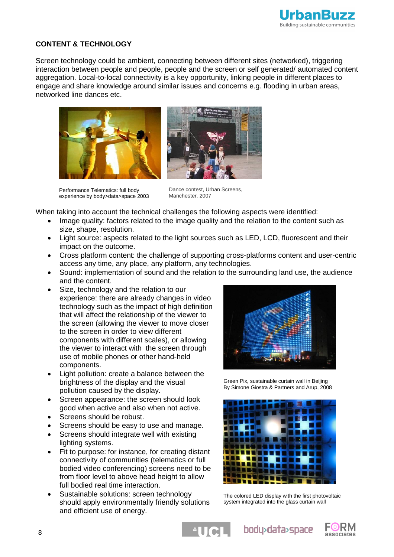

## **CONTENT & TECHNOLOGY**

Screen technology could be ambient, connecting between different sites (networked), triggering interaction between people and people, people and the screen or self generated/ automated content aggregation. Local-to-local connectivity is a key opportunity, linking people in different places to engage and share knowledge around similar issues and concerns e.g. flooding in urban areas, networked line dances etc.



Performance Telematics: full body experience by body>data>space 2003

Dance contest, Urban Screens, Manchester, 2007

When taking into account the technical challenges the following aspects were identified:

- Image quality: factors related to the image quality and the relation to the content such as size, shape, resolution.
- Light source: aspects related to the light sources such as LED, LCD, fluorescent and their impact on the outcome.
- Cross platform content: the challenge of supporting cross-platforms content and user-centric access any time, any place, any platform, any technologies.
- Sound: implementation of sound and the relation to the surrounding land use, the audience and the content.
- Size, technology and the relation to our experience: there are already changes in video technology such as the impact of high definition that will affect the relationship of the viewer to the screen (allowing the viewer to move closer to the screen in order to view different components with different scales), or allowing the viewer to interact with the screen through use of mobile phones or other hand-held components.
- Light pollution: create a balance between the brightness of the display and the visual pollution caused by the display.
- Screen appearance: the screen should look good when active and also when not active.
- Screens should be robust.
- Screens should be easy to use and manage.
- Screens should integrate well with existing lighting systems.
- Fit to purpose: for instance, for creating distant connectivity of communities (telematics or full bodied video conferencing) screens need to be from floor level to above head height to allow full bodied real time interaction.
- Sustainable solutions: screen technology should apply environmentally friendly solutions and efficient use of energy.



Green Pix, sustainable curtain wall in Beijing B[y Simone Giostra & Partners](http://www.sgp-architects.com/) an[d Arup,](http://www.arup.com/) 2008



The colored LED display with the first photovoltaic system integrated into the glass curtain wall

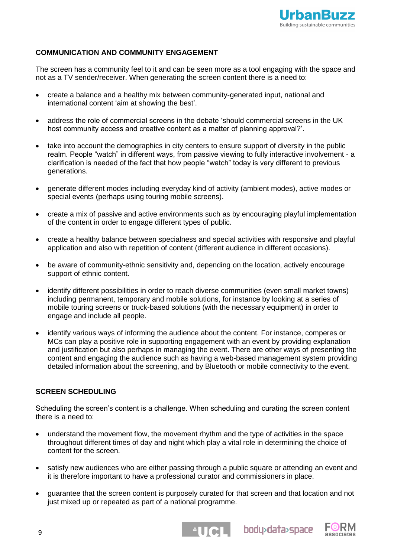

## **COMMUNICATION AND COMMUNITY ENGAGEMENT**

The screen has a community feel to it and can be seen more as a tool engaging with the space and not as a TV sender/receiver. When generating the screen content there is a need to:

- create a balance and a healthy mix between community-generated input, national and international content 'aim at showing the best'.
- address the role of commercial screens in the debate "should commercial screens in the UK host community access and creative content as a matter of planning approval?".
- take into account the demographics in city centers to ensure support of diversity in the public realm. People "watch" in different ways, from passive viewing to fully interactive involvement - a clarification is needed of the fact that how people "watch" today is very different to previous generations.
- generate different modes including everyday kind of activity (ambient modes), active modes or special events (perhaps using touring mobile screens).
- create a mix of passive and active environments such as by encouraging playful implementation of the content in order to engage different types of public.
- create a healthy balance between specialness and special activities with responsive and playful application and also with repetition of content (different audience in different occasions).
- be aware of community-ethnic sensitivity and, depending on the location, actively encourage support of ethnic content.
- identify different possibilities in order to reach diverse communities (even small market towns) including permanent, temporary and mobile solutions, for instance by looking at a series of mobile touring screens or truck-based solutions (with the necessary equipment) in order to engage and include all people.
- identify various ways of informing the audience about the content. For instance, comperes or MCs can play a positive role in supporting engagement with an event by providing explanation and justification but also perhaps in managing the event. There are other ways of presenting the content and engaging the audience such as having a web-based management system providing detailed information about the screening, and by Bluetooth or mobile connectivity to the event.

## **SCREEN SCHEDULING**

Scheduling the screen's content is a challenge. When scheduling and curating the screen content there is a need to:

- understand the movement flow, the movement rhythm and the type of activities in the space throughout different times of day and night which play a vital role in determining the choice of content for the screen.
- satisfy new audiences who are either passing through a public square or attending an event and it is therefore important to have a professional curator and commissioners in place.
- guarantee that the screen content is purposely curated for that screen and that location and not just mixed up or repeated as part of a national programme.



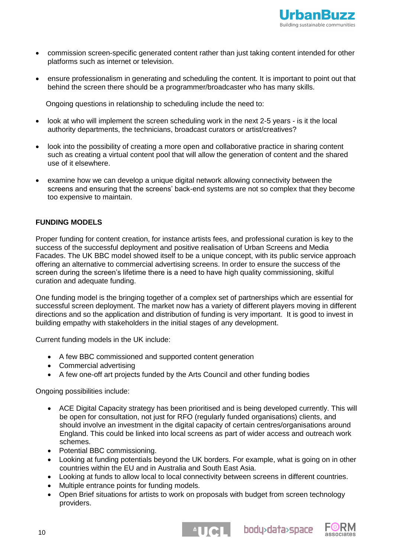

- commission screen-specific generated content rather than just taking content intended for other platforms such as internet or television.
- ensure professionalism in generating and scheduling the content. It is important to point out that behind the screen there should be a programmer/broadcaster who has many skills.

Ongoing questions in relationship to scheduling include the need to:

- look at who will implement the screen scheduling work in the next 2-5 years is it the local authority departments, the technicians, broadcast curators or artist/creatives?
- look into the possibility of creating a more open and collaborative practice in sharing content such as creating a virtual content pool that will allow the generation of content and the shared use of it elsewhere.
- examine how we can develop a unique digital network allowing connectivity between the screens and ensuring that the screens" back-end systems are not so complex that they become too expensive to maintain.

## **FUNDING MODELS**

Proper funding for content creation, for instance artists fees, and professional curation is key to the success of the successful deployment and positive realisation of Urban Screens and Media Facades. The UK BBC model showed itself to be a unique concept, with its public service approach offering an alternative to commercial advertising screens. In order to ensure the success of the screen during the screen's lifetime there is a need to have high quality commissioning, skilful curation and adequate funding.

One funding model is the bringing together of a complex set of partnerships which are essential for successful screen deployment. The market now has a variety of different players moving in different directions and so the application and distribution of funding is very important. It is good to invest in building empathy with stakeholders in the initial stages of any development.

Current funding models in the UK include:

- A few BBC commissioned and supported content generation
- Commercial advertising
- A few one-off art projects funded by the Arts Council and other funding bodies

Ongoing possibilities include:

- ACE Digital Capacity strategy has been prioritised and is being developed currently. This will be open for consultation, not just for RFO (regularly funded organisations) clients, and should involve an investment in the digital capacity of certain centres/organisations around England. This could be linked into local screens as part of wider access and outreach work schemes.
- Potential BBC commissioning.
- Looking at funding potentials beyond the UK borders. For example, what is going on in other countries within the EU and in Australia and South East Asia.
- Looking at funds to allow local to local connectivity between screens in different countries.
- Multiple entrance points for funding models.
- Open Brief situations for artists to work on proposals with budget from screen technology providers.



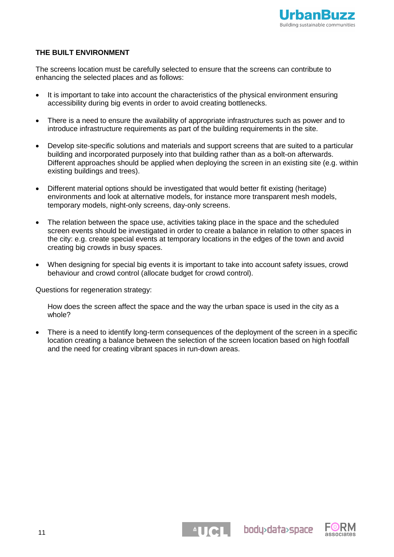

## **THE BUILT ENVIRONMENT**

The screens location must be carefully selected to ensure that the screens can contribute to enhancing the selected places and as follows:

- It is important to take into account the characteristics of the physical environment ensuring accessibility during big events in order to avoid creating bottlenecks.
- There is a need to ensure the availability of appropriate infrastructures such as power and to introduce infrastructure requirements as part of the building requirements in the site.
- Develop site-specific solutions and materials and support screens that are suited to a particular building and incorporated purposely into that building rather than as a bolt-on afterwards. Different approaches should be applied when deploying the screen in an existing site (e.g. within existing buildings and trees).
- Different material options should be investigated that would better fit existing (heritage) environments and look at alternative models, for instance more transparent mesh models, temporary models, night-only screens, day-only screens.
- The relation between the space use, activities taking place in the space and the scheduled screen events should be investigated in order to create a balance in relation to other spaces in the city: e.g. create special events at temporary locations in the edges of the town and avoid creating big crowds in busy spaces.
- When designing for special big events it is important to take into account safety issues, crowd behaviour and crowd control (allocate budget for crowd control).

Questions for regeneration strategy:

How does the screen affect the space and the way the urban space is used in the city as a whole?

 There is a need to identify long-term consequences of the deployment of the screen in a specific location creating a balance between the selection of the screen location based on high footfall and the need for creating vibrant spaces in run-down areas.

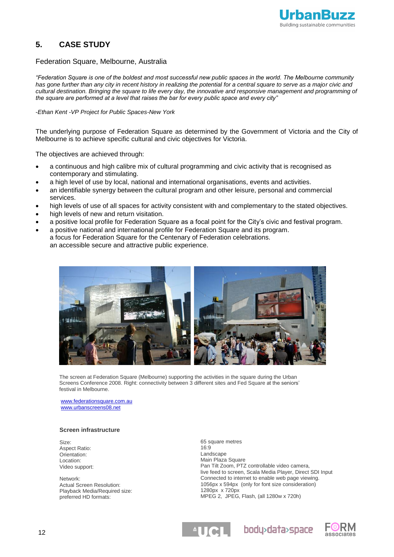

## **5. CASE STUDY**

### Federation Square, Melbourne, Australia

*"Federation Square is one of the boldest and most successful new public spaces in the world. The Melbourne community has gone further than any city in recent history in realizing the potential for a central square to serve as a major civic and cultural destination. Bringing the square to life every day, the innovative and responsive management and programming of the square are performed at a level that raises the bar for every public space and every city"*

-*Ethan Kent -VP Project for Public Spaces-New York* 

The underlying purpose of Federation Square as determined by the Government of Victoria and the City of Melbourne is to achieve specific cultural and civic objectives for Victoria.

The objectives are achieved through:

- a continuous and high calibre mix of cultural programming and civic activity that is recognised as contemporary and stimulating.
- a high level of use by local, national and international organisations, events and activities.
- an identifiable synergy between the cultural program and other leisure, personal and commercial services.
- high levels of use of all spaces for activity consistent with and complementary to the stated objectives.
- high levels of new and return visitation.
- a positive local profile for Federation Square as a focal point for the City"s civic and festival program.
- a positive national and international profile for Federation Square and its program. a focus for Federation Square for the Centenary of Federation celebrations. an accessible secure and attractive public experience.



The screen at Federation Square (Melbourne) supporting the activities in the square during the Urban Screens Conference 2008. Right: connectivity between 3 different sites and Fed Square at the seniors" festival in Melbourne.

[www.federationsquare.com.au](http://www.federationsquare.com.au/) [www.urbanscreens08.net](http://www.urbanscreens08.net/)

#### **Screen infrastructure**

Size: Aspect Ratio: Orientation: Location: Video support:

Network: Actual Screen Resolution: Playback Media/Required size: preferred HD formats:

65 square metres 16:9 Landscape Main Plaza Square Pan Tilt Zoom, PTZ controllable video camera, live feed to screen, Scala Media Player, Direct SDI Input Connected to internet to enable web page viewing. 1056px x 594px (only for font size consideration) 1280px x 720px MPEG 2, JPEG, Flash, (all 1280w x 720h)

body>data>space

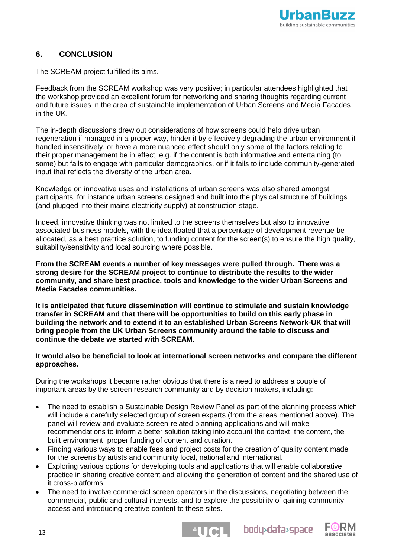

## **6. CONCLUSION**

The SCREAM project fulfilled its aims.

Feedback from the SCREAM workshop was very positive; in particular attendees highlighted that the workshop provided an excellent forum for networking and sharing thoughts regarding current and future issues in the area of sustainable implementation of Urban Screens and Media Facades in the UK.

The in-depth discussions drew out considerations of how screens could help drive urban regeneration if managed in a proper way, hinder it by effectively degrading the urban environment if handled insensitively, or have a more nuanced effect should only some of the factors relating to their proper management be in effect, e.g. if the content is both informative and entertaining (to some) but fails to engage with particular demographics, or if it fails to include community-generated input that reflects the diversity of the urban area.

Knowledge on innovative uses and installations of urban screens was also shared amongst participants, for instance urban screens designed and built into the physical structure of buildings (and plugged into their mains electricity supply) at construction stage.

Indeed, innovative thinking was not limited to the screens themselves but also to innovative associated business models, with the idea floated that a percentage of development revenue be allocated, as a best practice solution, to funding content for the screen(s) to ensure the high quality, suitability/sensitivity and local sourcing where possible.

**From the SCREAM events a number of key messages were pulled through. There was a strong desire for the SCREAM project to continue to distribute the results to the wider community, and share best practice, tools and knowledge to the wider Urban Screens and Media Facades communities.** 

**It is anticipated that future dissemination will continue to stimulate and sustain knowledge transfer in SCREAM and that there will be opportunities to build on this early phase in building the network and to extend it to an established Urban Screens Network-UK that will bring people from the UK Urban Screens community around the table to discuss and continue the debate we started with SCREAM.**

## **It would also be beneficial to look at international screen networks and compare the different approaches.**

During the workshops it became rather obvious that there is a need to address a couple of important areas by the screen research community and by decision makers, including:

- The need to establish a Sustainable Design Review Panel as part of the planning process which will include a carefully selected group of screen experts (from the areas mentioned above). The panel will review and evaluate screen-related planning applications and will make recommendations to inform a better solution taking into account the context, the content, the built environment, proper funding of content and curation.
- Finding various ways to enable fees and project costs for the creation of quality content made for the screens by artists and community local, national and international.
- Exploring various options for developing tools and applications that will enable collaborative practice in sharing creative content and allowing the generation of content and the shared use of it cross-platforms.
- The need to involve commercial screen operators in the discussions, negotiating between the commercial, public and cultural interests, and to explore the possibility of gaining community access and introducing creative content to these sites.



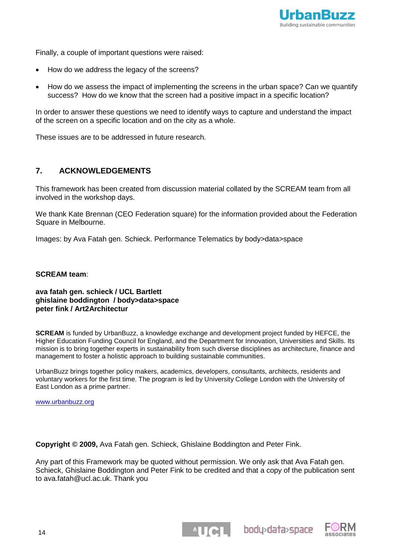

Finally, a couple of important questions were raised:

- How do we address the legacy of the screens?
- How do we assess the impact of implementing the screens in the urban space? Can we quantify success? How do we know that the screen had a positive impact in a specific location?

In order to answer these questions we need to identify ways to capture and understand the impact of the screen on a specific location and on the city as a whole.

These issues are to be addressed in future research.

## **7. ACKNOWLEDGEMENTS**

This framework has been created from discussion material collated by the SCREAM team from all involved in the workshop days.

We thank Kate Brennan (CEO Federation square) for the information provided about the Federation Square in Melbourne.

Images: by Ava Fatah gen. Schieck. Performance Telematics by body>data>space

## **SCREAM team**:

**ava fatah gen. schieck / UCL Bartlett ghislaine boddington / body>data>space peter fink / Art2Architectur**

**SCREAM** is funded by UrbanBuzz, a knowledge exchange and development project funded by HEFCE, the Higher Education Funding Council for England, and the Department for Innovation, Universities and Skills. Its mission is to bring together experts in sustainability from such diverse disciplines as architecture, finance and management to foster a holistic approach to building sustainable communities.

UrbanBuzz brings together policy makers, academics, developers, consultants, architects, residents and voluntary workers for the first time. The program is led by University College London with the University of East London as a prime partner.

[www.urbanbuzz.org](http://www.urbanbuzz.org/)

**Copyright © 2009,** Ava Fatah gen. Schieck, Ghislaine Boddington and Peter Fink.

Any part of this Framework may be quoted without permission. We only ask that Ava Fatah gen. Schieck, Ghislaine Boddington and Peter Fink to be credited and that a copy of the publication sent to ava.fatah@ucl.ac.uk. Thank you

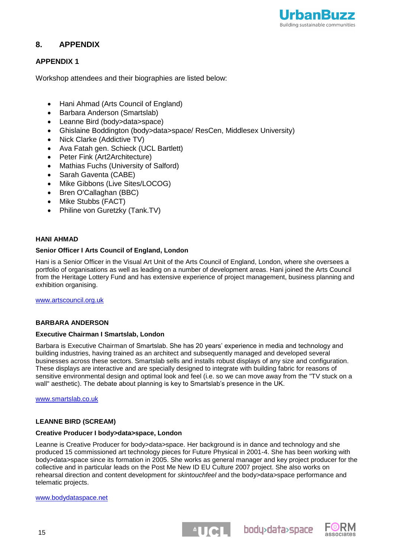

## **8. APPENDIX**

## **APPENDIX 1**

Workshop attendees and their biographies are listed below:

- Hani Ahmad (Arts Council of England)
- Barbara Anderson (Smartslab)
- Leanne Bird (body>data>space)
- Ghislaine Boddington (body>data>space/ ResCen, Middlesex University)
- Nick Clarke (Addictive TV)
- Ava Fatah gen. Schieck (UCL Bartlett)
- Peter Fink (Art2Architecture)
- Mathias Fuchs (University of Salford)
- Sarah Gaventa (CABE)
- Mike Gibbons (Live Sites/LOCOG)
- Bren O'Callaghan (BBC)
- Mike Stubbs (FACT)
- Philine von Guretzky (Tank.TV)

## **HANI AHMAD**

### **Senior Officer I Arts Council of England, London**

Hani is a Senior Officer in the Visual Art Unit of the Arts Council of England, London, where she oversees a portfolio of organisations as well as leading on a number of development areas. Hani joined the Arts Council from the Heritage Lottery Fund and has extensive experience of project management, business planning and exhibition organising.

[www.artscouncil.org.uk](http://www.artscouncil.org.uk/)

## **BARBARA ANDERSON**

## **Executive Chairman I Smartslab, London**

Barbara is Executive Chairman of Smartslab. She has 20 years" experience in media and technology and building industries, having trained as an architect and subsequently managed and developed several businesses across these sectors. Smartslab sells and installs robust displays of any size and configuration. These displays are interactive and are specially designed to integrate with building fabric for reasons of sensitive environmental design and optimal look and feel (i.e. so we can move away from the "TV stuck on a wall" aesthetic). The debate about planning is key to Smartslab's presence in the UK.

[www.smartslab.co.uk](http://www.smartslab.co.uk/)

## **LEANNE BIRD (SCREAM)**

#### **Creative Producer I body>data>space, London**

Leanne is Creative Producer for body>data>space. Her background is in dance and technology and she produced 15 commissioned art technology pieces for Future Physical in 2001-4. She has been working with body>data>space since its formation in 2005. She works as general manager and key project producer for the collective and in particular leads on the Post Me New ID EU Culture 2007 project. She also works on rehearsal direction and content development for *skintouchfeel* and the body>data>space performance and telematic projects.

#### [www.bodydataspace.net](http://www.bodydataspace.net/)

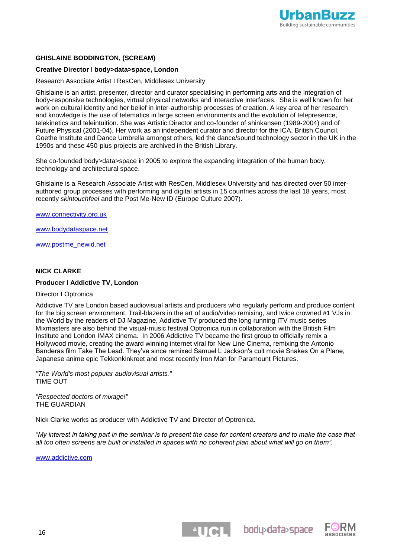

## **GHISLAINE BODDINGTON, (SCREAM)**

#### **Creative Director** I **body>data>space, London**

Research Associate Artist I ResCen, Middlesex University

Ghislaine is an artist, presenter, director and curator specialising in performing arts and the integration of body-responsive technologies, virtual physical networks and interactive interfaces. She is well known for her work on cultural identity and her belief in inter-authorship processes of creation. A key area of her research and knowledge is the use of telematics in large screen environments and the evolution of telepresence, telekinetics and teleintuition. She was Artistic Director and co-founder of shinkansen (1989-2004) and of Future Physical (2001-04). Her work as an independent curator and director for the ICA, British Council, Goethe Institute and Dance Umbrella amongst others, led the dance/sound technology sector in the UK in the 1990s and these 450-plus projects are archived in the British Library.

She co-founded body>data>space in 2005 to explore the expanding integration of the human body, technology and architectural space.

Ghislaine is a Research Associate Artist with ResCen, Middlesex University and has directed over 50 interauthored group processes with performing and digital artists in 15 countries across the last 18 years, most recently *skintouchfeel* and the Post Me-New ID (Europe Culture 2007).

[www.connectivity.org.uk](http://www.connectivity.org.uk/)

[www.bodydataspace.net](http://www.bodydataspace.net/)

[www.postme\\_newid.net](http://www.postme_newid.net/)

#### **NICK CLARKE**

#### **Producer I Addictive TV, London**

Director I Optronica

Addictive TV are London based audiovisual artists and producers who regularly perform and produce content for the big screen environment. Trail-blazers in the art of audio/video remixing, and twice crowned #1 VJs in the World by the readers of DJ Magazine, Addictive TV produced the long running ITV music series Mixmasters are also behind the visual-music festival Optronica run in collaboration with the British Film Institute and London IMAX cinema. In 2006 Addictive TV became the first group to officially remix a Hollywood movie, creating the award winning internet viral for New Line Cinema, remixing the Antonio Banderas film Take The Lead. They"ve since remixed Samuel L Jackson's cult movie Snakes On a Plane, Japanese anime epic Tekkonkinkreet and most recently Iron Man for Paramount Pictures.

*"The World's most popular audiovisual artists."* TIME OUT

*"Respected doctors of mixage!"* THE GUARDIAN

Nick Clarke works as producer with Addictive TV and Director of Optronica.

*"My interest in taking part in the seminar is to present the case for content creators and to make the case that all too often screens are built or installed in spaces with no coherent plan about what will go on them".*

**ENGL** bodydata>space

[www.addictive.com](http://www.addictive.com/)

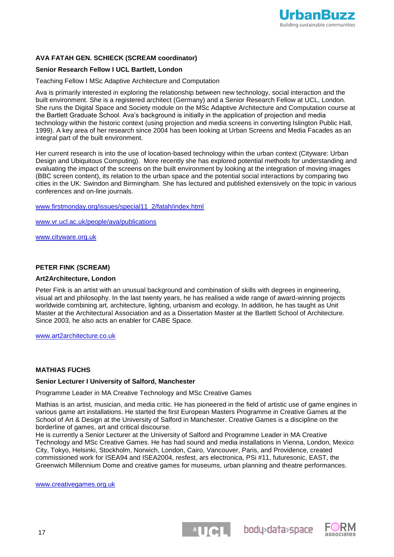

## **AVA FATAH GEN. SCHIECK (SCREAM coordinator)**

## **Senior Research Fellow I UCL Bartlett, London**

#### Teaching Fellow I MSc Adaptive Architecture and Computation

Ava is primarily interested in exploring the relationship between new technology, social interaction and the built environment. She is a registered architect (Germany) and a Senior Research Fellow at UCL, London. She runs the Digital Space and Society module on the MSc Adaptive Architecture and Computation course at the Bartlett Graduate School. Ava"s background is initially in the application of projection and media technology within the historic context (using projection and media screens in converting Islington Public Hall, 1999). A key area of her research since 2004 has been looking at Urban Screens and Media Facades as an integral part of the built environment.

Her current research is into the use of location-based technology within the urban context (Cityware: Urban Design and Ubiquitous Computing). More recently she has explored potential methods for understanding and evaluating the impact of the screens on the built environment by looking at the integration of moving images (BBC screen content), its relation to the urban space and the potential social interactions by comparing two cities in the UK: Swindon and Birmingham. She has lectured and published extensively on the topic in various conferences and on-line journals.

### [www.firstmonday.org/issues/special11\\_2/fatah/index.html](http://www.firstmonday.org/issues/special11_2/fatah/index.html)

[www.vr.ucl.ac.uk/people/ava/publications](http://www.vr.ucl.ac.uk/people/ava/publications)

[www.cityware.org.uk](http://www.cityware.org.uk/)

### **PETER FINK (SCREAM)**

#### **Art2Architecture, London**

Peter Fink is an artist with an unusual background and combination of skills with degrees in engineering, visual art and philosophy. In the last twenty years, he has realised a wide range of award-winning projects worldwide combining art, architecture, lighting, urbanism and ecology. In addition, he has taught as Unit Master at the Architectural Association and as a Dissertation Master at the Bartlett School of Architecture. Since 2003, he also acts an enabler for CABE Space.

[www.art2architecture.co.uk](http://www.art2architecture.co.uk/)

#### **MATHIAS FUCHS**

#### **Senior Lecturer I University of Salford, Manchester**

Programme Leader in MA Creative Technology and MSc Creative Games

Mathias is an artist, musician, and media critic. He has pioneered in the field of artistic use of game engines in various game art installations. He started the first European Masters Programme in Creative Games at the School of Art & Design at the University of Salford in Manchester. Creative Games is a discipline on the borderline of games, art and critical discourse.

He is currently a Senior Lecturer at the University of Salford and Programme Leader in MA Creative Technology and MSc Creative Games. He has had sound and media installations in Vienna, London, Mexico City, Tokyo, Helsinki, Stockholm, Norwich, London, Cairo, Vancouver, Paris, and Providence, created commissioned work for ISEA94 and ISEA2004, resfest, ars electronica, PSi #11, futuresonic, EAST, the Greenwich Millennium Dome and creative games for museums, urban planning and theatre performances.

[www.creativegames.org.uk](http://www.creativegames.org.uk/)



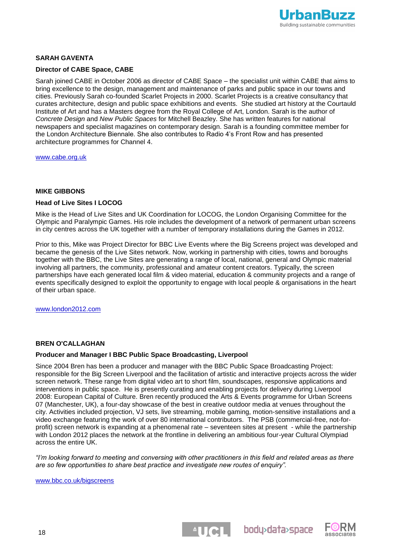

## **SARAH GAVENTA**

### **Director of CABE Space, CABE**

Sarah joined CABE in October 2006 as director of CABE Space – the specialist unit within CABE that aims to bring excellence to the design, management and maintenance of parks and public space in our towns and cities. Previously Sarah co-founded Scarlet Projects in 2000. Scarlet Projects is a creative consultancy that curates architecture, design and public space exhibitions and events. She studied art history at the Courtauld Institute of Art and has a Masters degree from the Royal College of Art, London. Sarah is the author of *Concrete Design* and *New Public Spaces* for Mitchell Beazley. She has written features for national newspapers and specialist magazines on contemporary design. Sarah is a founding committee member for the London Architecture Biennale. She also contributes to Radio 4"s Front Row and has presented architecture programmes for Channel 4.

[www.cabe.org.uk](http://www.cabe.org.uk/)

#### **MIKE GIBBONS**

#### **Head of Live Sites I LOCOG**

Mike is the Head of Live Sites and UK Coordination for LOCOG, the London Organising Committee for the Olympic and Paralympic Games. His role includes the development of a network of permanent urban screens in city centres across the UK together with a number of temporary installations during the Games in 2012.

Prior to this, Mike was Project Director for BBC Live Events where the Big Screens project was developed and became the genesis of the Live Sites network. Now, working in partnership with cities, towns and boroughs together with the BBC, the Live Sites are generating a range of local, national, general and Olympic material involving all partners, the community, professional and amateur content creators. Typically, the screen partnerships have each generated local film & video material, education & community projects and a range of events specifically designed to exploit the opportunity to engage with local people & organisations in the heart of their urban space.

[www.london2012.com](http://www.london2012.com/)

## **BREN O'CALLAGHAN**

#### **Producer and Manager I BBC Public Space Broadcasting, Liverpool**

Since 2004 Bren has been a producer and manager with the BBC Public Space Broadcasting Project: responsible for the Big Screen Liverpool and the facilitation of artistic and interactive projects across the wider screen network. These range from digital video art to short film, soundscapes, responsive applications and interventions in public space. He is presently curating and enabling projects for delivery during Liverpool 2008: European Capital of Culture. Bren recently produced the Arts & Events programme for Urban Screens 07 (Manchester, UK), a four-day showcase of the best in creative outdoor media at venues throughout the city. Activities included projection, VJ sets, live streaming, mobile gaming, motion-sensitive installations and a video exchange featuring the work of over 80 international contributors. The PSB (commercial-free, not-forprofit) screen network is expanding at a phenomenal rate – seventeen sites at present - while the partnership with London 2012 places the network at the frontline in delivering an ambitious four-year Cultural Olympiad across the entire UK.

*"I'm looking forward to meeting and conversing with other practitioners in this field and related areas as there are so few opportunities to share best practice and investigate new routes of enquiry".*

**ENGL** bodydata>space

[www.bbc.co.uk/bigscreens](http://www.bbc.co.uk/bigscreens)

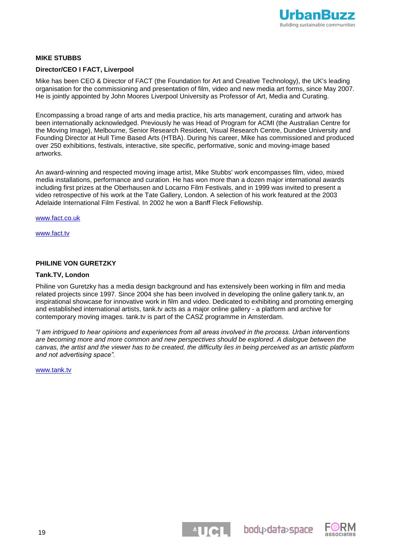

### **MIKE STUBBS**

### **Director/CEO I FACT, Liverpool**

Mike has been CEO & Director of FACT (the Foundation for Art and Creative Technology), the UK's leading organisation for the commissioning and presentation of film, video and new media art forms, since May 2007. He is jointly appointed by John Moores Liverpool University as Professor of Art, Media and Curating.

Encompassing a broad range of arts and media practice, his arts management, curating and artwork has been internationally acknowledged. Previously he was Head of Program for ACMI (the Australian Centre for the Moving Image), Melbourne, Senior Research Resident, Visual Research Centre, Dundee University and Founding Director at Hull Time Based Arts (HTBA). During his career, Mike has commissioned and produced over 250 exhibitions, festivals, interactive, site specific, performative, sonic and moving-image based artworks.

An award-winning and respected moving image artist, Mike Stubbs' work encompasses film, video, mixed media installations, performance and curation. He has won more than a dozen major international awards including first prizes at the Oberhausen and Locarno Film Festivals, and in 1999 was invited to present a video retrospective of his work at the Tate Gallery, London. A selection of his work featured at the 2003 Adelaide International Film Festival. In 2002 he won a Banff Fleck Fellowship.

[www.fact.co.uk](http://www.fact.co.uk/)

[www.fact.tv](http://www.fact.tv/)

### **PHILINE VON GURETZKY**

#### **Tank.TV, London**

Philine von Guretzky has a media design background and has extensively been working in film and media related projects since 1997. Since 2004 she has been involved in developing the online gallery tank.tv, an inspirational showcase for innovative work in film and video. Dedicated to exhibiting and promoting emerging and established international artists, tank.tv acts as a major online gallery - a platform and archive for contemporary moving images. tank.tv is part of the CASZ programme in Amsterdam.

*"I am intrigued to hear opinions and experiences from all areas involved in the process. Urban interventions are becoming more and more common and new perspectives should be explored. A dialogue between the canvas, the artist and the viewer has to be created, the difficulty lies in being perceived as an artistic platform and not advertising space".*

[www.tank.tv](http://www.tank.tv/)